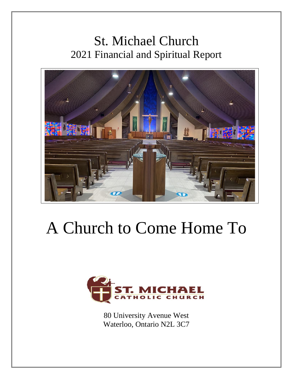# St. Michael Church 2021 Financial and Spiritual Report



# A Church to Come Home To



80 University Avenue West Waterloo, Ontario N2L 3C7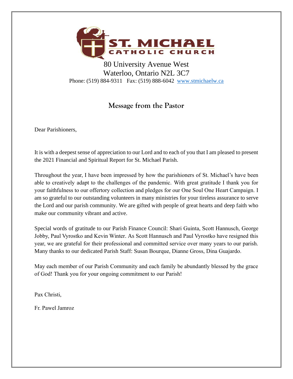

80 University Avenue West Waterloo, Ontario N2L 3C7 Phone: (519) 884-9311 Fax: (519) 888-6042 [www.stmichaelw.ca](http://www.stmichaelw.ca/)

## **Message from the Pastor**

Dear Parishioners,

It is with a deepest sense of appreciation to our Lord and to each of you that I am pleased to present the 2021 Financial and Spiritual Report for St. Michael Parish.

Throughout the year, I have been impressed by how the parishioners of St. Michael's have been able to creatively adapt to the challenges of the pandemic. With great gratitude I thank you for your faithfulness to our offertory collection and pledges for our One Soul One Heart Campaign. I am so grateful to our outstanding volunteers in many ministries for your tireless assurance to serve the Lord and our parish community. We are gifted with people of great hearts and deep faith who make our community vibrant and active.

Special words of gratitude to our Parish Finance Council: Shari Guinta, Scott Hannusch, George Jobby, Paul Vyrostko and Kevin Winter. As Scott Hannusch and Paul Vyrostko have resigned this year, we are grateful for their professional and committed service over many years to our parish. Many thanks to our dedicated Parish Staff: Susan Bourque, Dianne Gross, Dina Guajardo.

May each member of our Parish Community and each family be abundantly blessed by the grace of God! Thank you for your ongoing commitment to our Parish!

Pax Christi,

Fr. Pawel Jamroz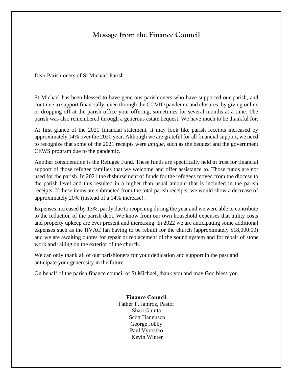## **Message from the Finance Council**

Dear Parishioners of St Michael Parish

St Michael has been blessed to have generous parishioners who have supported our parish, and continue to support financially, even through the COVID pandemic and closures, by giving online or dropping off at the parish office your offering, sometimes for several months at a time. The parish was also remembered through a generous estate bequest. We have much to be thankful for.

At first glance of the 2021 financial statement, it may look like parish receipts increased by approximately 14% over the 2020 year. Although we are grateful for all financial support, we need to recognize that some of the 2021 receipts were *unique,* such as the bequest and the government CEWS program due to the pandemic.

Another consideration is the Refugee Fund. These funds are specifically held in trust for financial support of those refugee families that we welcome and offer assistance to. Those funds are not used for the parish. In 2021 the disbursement of funds for the refugees moved from the diocese to the parish level and this resulted in a higher than usual amount that is included in the parish receipts. If these items are subtracted from the total parish receipts; we would show a decrease of approximately 20% (instead of a 14% increase).

Expenses increased by 13%, partly due to reopening during the year and we were able to contribute to the reduction of the parish debt. We know from our own household expenses that utility costs and property upkeep are ever present and increasing. In 2022 we are anticipating some additional expenses such as the HVAC fan having to be rebuilt for the church (approximately \$18,000.00) and we are awaiting quotes for repair or replacement of the sound system and for repair of stone work and railing on the exterior of the church.

We can only thank all of our parishioners for your dedication and support in the past and anticipate your generosity in the future.

On behalf of the parish finance council of St Michael, thank you and may God bless you.

**Finance Counci**l Father P. Jamroz, Pastor Shari Guinta Scott Hannusch George Jobby Paul Vyrostko Kevin Winter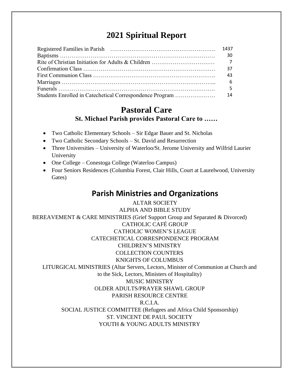# **2021 Spiritual Report**

| 43 |
|----|
|    |
|    |
|    |

### **Pastoral Care St. Michael Parish provides Pastoral Care to ……**

- Two Catholic Elementary Schools Sir Edgar Bauer and St. Nicholas
- Two Catholic Secondary Schools St. David and Resurrection
- Three Universities University of Waterloo/St. Jerome University and Wilfrid Laurier University
- One College Conestoga College (Waterloo Campus)
- Four Seniors Residences (Columbia Forest, Clair Hills, Court at Laurelwood, University Gates)

# **Parish Ministries and Organizations**

ALTAR SOCIETY ALPHA AND BIBLE STUDY BEREAVEMENT & CARE MINISTRIES (Grief Support Group and Separated & Divorced) CATHOLIC CAFÉ GROUP CATHOLIC WOMEN'S LEAGUE CATECHETICAL CORRESPONDENCE PROGRAM CHILDREN'S MINISTRY COLLECTION COUNTERS KNIGHTS OF COLUMBUS LITURGICAL MINISTRIES (Altar Servers, Lectors, Minister of Communion at Church and to the Sick, Lectors, Ministers of Hospitality) MUSIC MINISTRY OLDER ADULTS/PRAYER SHAWL GROUP PARISH RESOURCE CENTRE R.C.I.A. SOCIAL JUSTICE COMMITTEE (Refugees and Africa Child Sponsorship) ST. VINCENT DE PAUL SOCIETY YOUTH & YOUNG ADULTS MINISTRY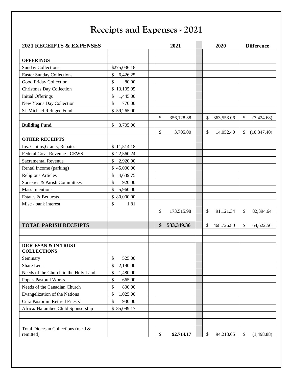# **Receipts and Expenses - 2021**

| 2021 RECEIPTS & EXPENSES                             |                                       |                   | 2021       | 2020             | <b>Difference</b>  |
|------------------------------------------------------|---------------------------------------|-------------------|------------|------------------|--------------------|
|                                                      |                                       |                   |            |                  |                    |
| <b>OFFERINGS</b>                                     |                                       |                   |            |                  |                    |
| <b>Sunday Collections</b>                            | \$275,036.18                          |                   |            |                  |                    |
| <b>Easter Sunday Collections</b>                     | $\boldsymbol{\mathsf{S}}$<br>6,426.25 |                   |            |                  |                    |
| Good Friday Collection                               | \$<br>80.00                           |                   |            |                  |                    |
| Christmas Day Collection                             | \$13,105.95                           |                   |            |                  |                    |
| <b>Initial Offerings</b>                             | \$<br>1,445.00                        |                   |            |                  |                    |
| New Year's Day Collection                            | $\mathbb{S}$<br>770.00                |                   |            |                  |                    |
| St. Michael Refugee Fund                             | \$59,265.00                           |                   |            |                  |                    |
|                                                      |                                       | $\mathbb{S}$      | 356,128.38 | \$<br>363,553.06 | \$<br>(7,424.68)   |
| <b>Building Fund</b>                                 | $\mathbb{S}$<br>3,705.00              |                   |            |                  |                    |
|                                                      |                                       | $\mathcal{S}$     | 3,705.00   | \$<br>14,052.40  | \$<br>(10, 347.40) |
| <b>OTHER RECEIPTS</b>                                |                                       |                   |            |                  |                    |
| Ins. Claims, Grants, Rebates                         | \$11,514.18                           |                   |            |                  |                    |
| Federal Gov't Revenue - CEWS                         | \$22,560.24                           |                   |            |                  |                    |
| <b>Sacramental Revenue</b>                           | $\mathbb{S}$<br>2,920.00              |                   |            |                  |                    |
| Rental Income (parking)                              | \$45,000.00                           |                   |            |                  |                    |
| <b>Religious Articles</b>                            | \$<br>4,639.75                        |                   |            |                  |                    |
| Societies & Parish Committees                        | \$<br>920.00                          |                   |            |                  |                    |
| <b>Mass Intentions</b>                               | \$<br>5,960.00                        |                   |            |                  |                    |
| Estates & Bequests                                   | \$80,000.00                           |                   |            |                  |                    |
| Misc - bank interest                                 | \$<br>1.81                            |                   |            |                  |                    |
|                                                      |                                       | \$                | 173,515.98 | \$<br>91,121.34  | \$<br>82,394.64    |
| <b>TOTAL PARISH RECEIPTS</b>                         |                                       | $\boldsymbol{\$}$ | 533,349.36 | \$<br>468,726.80 | \$<br>64,622.56    |
|                                                      |                                       |                   |            |                  |                    |
|                                                      |                                       |                   |            |                  |                    |
| <b>DIOCESAN &amp; IN TRUST</b><br><b>COLLECTIONS</b> |                                       |                   |            |                  |                    |
| Seminary                                             | \$<br>525.00                          |                   |            |                  |                    |
| Share Lent                                           | \$<br>2,190.00                        |                   |            |                  |                    |
| Needs of the Church in the Holy Land                 | \$<br>1,480.00                        |                   |            |                  |                    |
| Pope's Pastoral Works                                | \$<br>665.00                          |                   |            |                  |                    |
| Needs of the Canadian Church                         | \$<br>800.00                          |                   |            |                  |                    |
| Evangelization of the Nations                        | \$<br>1,025.00                        |                   |            |                  |                    |
| <b>Cura Pastorum Retired Priests</b>                 | \$<br>930.00                          |                   |            |                  |                    |
| Africa/ Harambee Child Sponsorship                   | \$85,099.17                           |                   |            |                  |                    |
|                                                      |                                       |                   |            |                  |                    |
| Total Diocesan Collections (rec'd &                  |                                       |                   |            |                  |                    |
| remitted)                                            |                                       | \$                | 92,714.17  | \$<br>94,213.05  | \$<br>(1,498.88)   |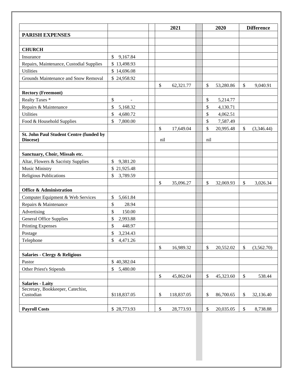|                                          |                |                           | 2021       |              | 2020      |    | <b>Difference</b> |  |
|------------------------------------------|----------------|---------------------------|------------|--------------|-----------|----|-------------------|--|
| <b>PARISH EXPENSES</b>                   |                |                           |            |              |           |    |                   |  |
|                                          |                |                           |            |              |           |    |                   |  |
| <b>CHURCH</b>                            |                |                           |            |              |           |    |                   |  |
| Insurance                                | \$9,167.84     |                           |            |              |           |    |                   |  |
| Repairs, Maintenance, Custodial Supplies | \$13,498.93    |                           |            |              |           |    |                   |  |
| <b>Utilities</b>                         | \$14,696.08    |                           |            |              |           |    |                   |  |
| Grounds Maintenance and Snow Removal     | \$24,958.92    |                           |            |              |           |    |                   |  |
|                                          |                | \$                        | 62,321.77  | $\mathbb{S}$ | 53,280.86 | \$ | 9,040.91          |  |
| <b>Rectory (Freemont)</b>                |                |                           |            |              |           |    |                   |  |
| Realty Taxes *                           | \$             |                           |            | \$           | 5,214.77  |    |                   |  |
| Repairs & Maintenance                    | \$<br>5,168.32 |                           |            | \$           | 4,130.71  |    |                   |  |
| <b>Utilities</b>                         | \$<br>4,680.72 |                           |            | \$           | 4,062.51  |    |                   |  |
| Food & Household Supplies                | \$<br>7,800.00 |                           |            | \$           | 7,587.49  |    |                   |  |
|                                          |                | \$                        | 17,649.04  | \$           | 20,995.48 | \$ | (3,346.44)        |  |
| St. John Paul Student Centre (funded by  |                |                           |            |              |           |    |                   |  |
| Diocese)                                 |                | nil                       |            | nil          |           |    |                   |  |
|                                          |                |                           |            |              |           |    |                   |  |
| Sanctuary, Choir, Missals etc.           |                |                           |            |              |           |    |                   |  |
| Altar, Flowers & Sacristy Supplies       | \$<br>9,381.20 |                           |            |              |           |    |                   |  |
| <b>Music Ministry</b>                    | \$21,925.48    |                           |            |              |           |    |                   |  |
| <b>Religious Publications</b>            | \$<br>3,789.59 |                           |            |              |           |    |                   |  |
|                                          |                | \$                        | 35,096.27  | \$           | 32,069.93 | \$ | 3,026.34          |  |
| <b>Office &amp; Administration</b>       |                |                           |            |              |           |    |                   |  |
| Computer Equipment & Web Services        | \$<br>5,661.84 |                           |            |              |           |    |                   |  |
| Repairs & Maintenance                    | \$<br>28.94    |                           |            |              |           |    |                   |  |
| Advertising                              | \$<br>150.00   |                           |            |              |           |    |                   |  |
| <b>General Office Supplies</b>           | \$<br>2,993.88 |                           |            |              |           |    |                   |  |
| <b>Printing Expenses</b>                 | \$<br>448.97   |                           |            |              |           |    |                   |  |
| Postage                                  | \$<br>3,234.43 |                           |            |              |           |    |                   |  |
| Telephone                                | \$<br>4,471.26 |                           |            |              |           |    |                   |  |
|                                          |                | $\boldsymbol{\mathsf{S}}$ | 16,989.32  | \$           | 20,552.02 | \$ | (3,562.70)        |  |
| <b>Salaries - Clergy &amp; Religious</b> |                |                           |            |              |           |    |                   |  |
| Pastor                                   | \$40,382.04    |                           |            |              |           |    |                   |  |
| <b>Other Priest's Stipends</b>           | \$<br>5,480.00 |                           |            |              |           |    |                   |  |
|                                          |                | \$                        | 45,862.04  | \$           | 45,323.60 | \$ | 538.44            |  |
| <b>Salaries - Laity</b>                  |                |                           |            |              |           |    |                   |  |
| Secretary, Bookkeeper, Catechist,        |                |                           |            |              |           |    |                   |  |
| Custodian                                | \$118,837.05   | \$                        | 118,837.05 | \$           | 86,700.65 | \$ | 32,136.40         |  |
|                                          |                |                           |            |              |           |    |                   |  |
| <b>Payroll Costs</b>                     | \$28,773.93    | $\$$                      | 28,773.93  | \$           | 20,035.05 | \$ | 8,738.88          |  |